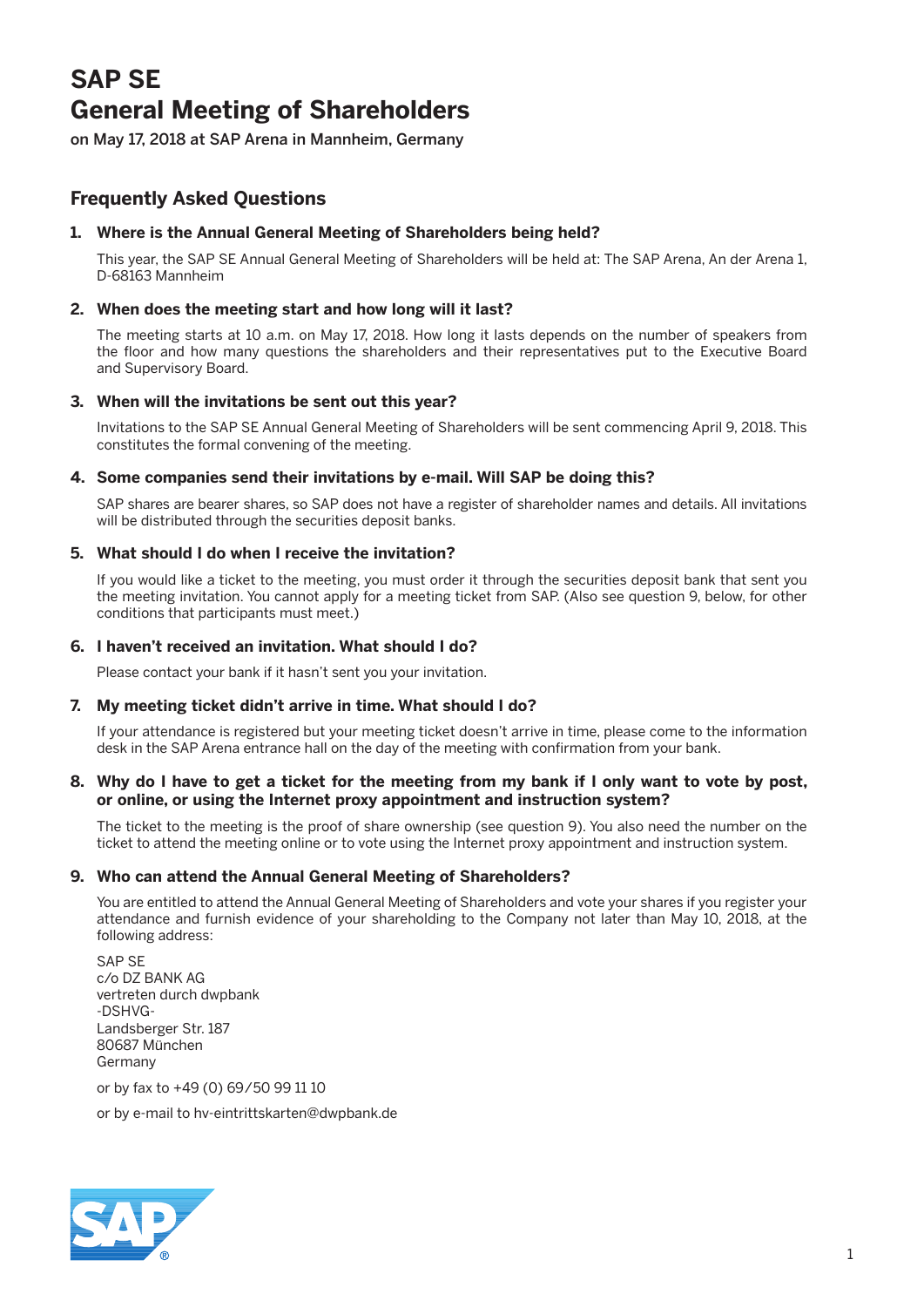# **SAP SE General Meeting of Shareholders**

on May 17, 2018 at SAP Arena in Mannheim, Germany

# **Frequently Asked Questions**

# **1. Where is the Annual General Meeting of Shareholders being held?**

 This year, the SAP SE Annual General Meeting of Shareholders will be held at: The SAP Arena, An der Arena 1, D-68163 Mannheim

# **2. When does the meeting start and how long will it last?**

 The meeting starts at 10 a.m. on May 17, 2018. How long it lasts depends on the number of speakers from the floor and how many questions the shareholders and their representatives put to the Executive Board and Supervisory Board.

# **3. When will the invitations be sent out this year?**

 Invitations to the SAP SE Annual General Meeting of Shareholders will be sent commencing April 9, 2018. This constitutes the formal convening of the meeting.

# **4. Some companies send their invitations by e-mail. Will SAP be doing this?**

 SAP shares are bearer shares, so SAP does not have a register of shareholder names and details. All invitations will be distributed through the securities deposit banks.

# **5. What should I do when I receive the invitation?**

 If you would like a ticket to the meeting, you must order it through the securities deposit bank that sent you the meeting invitation. You cannot apply for a meeting ticket from SAP. (Also see question 9, below, for other conditions that participants must meet.)

# **6. I haven't received an invitation. What should I do?**

Please contact your bank if it hasn't sent you your invitation.

# **7. My meeting ticket didn't arrive in time. What should I do?**

 If your attendance is registered but your meeting ticket doesn't arrive in time, please come to the information desk in the SAP Arena entrance hall on the day of the meeting with confirmation from your bank.

#### **8. Why do I have to get a ticket for the meeting from my bank if I only want to vote by post, or online, or using the Internet proxy appointment and instruction system?**

 The ticket to the meeting is the proof of share ownership (see question 9). You also need the number on the ticket to attend the meeting online or to vote using the Internet proxy appointment and instruction system.

# **9. Who can attend the Annual General Meeting of Shareholders?**

 You are entitled to attend the Annual General Meeting of Shareholders and vote your shares if you register your attendance and furnish evidence of your shareholding to the Company not later than May 10, 2018, at the following address:

 SAP SE c/o DZ BANK AG vertreten durch dwpbank -DSHVG-Landsberger Str. 187 80687 München Germany

or by fax to +49 (0) 69/50 99 11 10

or by e-mail to hv-eintrittskarten@dwpbank.de

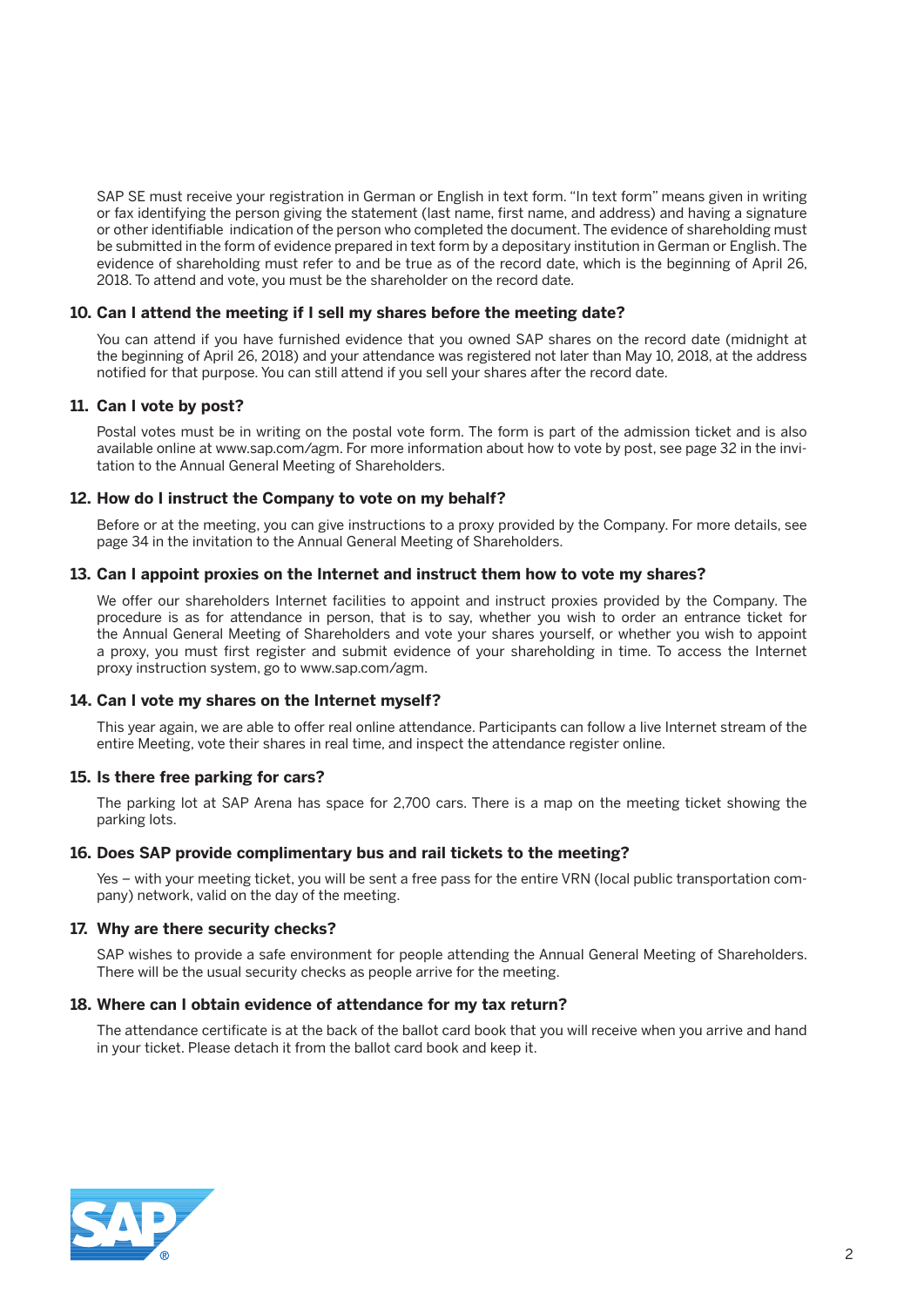SAP SE must receive your registration in German or English in text form. "In text form" means given in writing or fax identifying the person giving the statement (last name, first name, and address) and having a signature or other identifiable indication of the person who completed the document. The evidence of shareholding must be submitted in the form of evidence prepared in text form by a depositary institution in German or English. The evidence of shareholding must refer to and be true as of the record date, which is the beginning of April 26, 2018. To attend and vote, you must be the shareholder on the record date.

#### **10. Can I attend the meeting if I sell my shares before the meeting date?**

 You can attend if you have furnished evidence that you owned SAP shares on the record date (midnight at the beginning of April 26, 2018) and your attendance was registered not later than May 10, 2018, at the address notified for that purpose. You can still attend if you sell your shares after the record date.

#### **11. Can I vote by post?**

 Postal votes must be in writing on the postal vote form. The form is part of the admission ticket and is also available online at www.sap.com/agm. For more information about how to vote by post, see page 32 in the invitation to the Annual General Meeting of Shareholders.

#### **12. How do I instruct the Company to vote on my behalf?**

 Before or at the meeting, you can give instructions to a proxy provided by the Company. For more details, see page 34 in the invitation to the Annual General Meeting of Shareholders.

#### **13. Can I appoint proxies on the Internet and instruct them how to vote my shares?**

 We offer our shareholders Internet facilities to appoint and instruct proxies provided by the Company. The procedure is as for attendance in person, that is to say, whether you wish to order an entrance ticket for the Annual General Meeting of Shareholders and vote your shares yourself, or whether you wish to appoint a proxy, you must first register and submit evidence of your shareholding in time. To access the Internet proxy instruction system, go to www.sap.com/agm.

#### **14. Can I vote my shares on the Internet myself?**

 This year again, we are able to offer real online attendance. Participants can follow a live Internet stream of the entire Meeting, vote their shares in real time, and inspect the attendance register online.

#### **15. Is there free parking for cars?**

 The parking lot at SAP Arena has space for 2,700 cars. There is a map on the meeting ticket showing the parking lots.

#### **16. Does SAP provide complimentary bus and rail tickets to the meeting?**

 Yes – with your meeting ticket, you will be sent a free pass for the entire VRN (local public transportation company) network, valid on the day of the meeting.

#### **17. Why are there security checks?**

 SAP wishes to provide a safe environment for people attending the Annual General Meeting of Shareholders. There will be the usual security checks as people arrive for the meeting.

#### **18. Where can I obtain evidence of attendance for my tax return?**

 The attendance certificate is at the back of the ballot card book that you will receive when you arrive and hand in your ticket. Please detach it from the ballot card book and keep it.